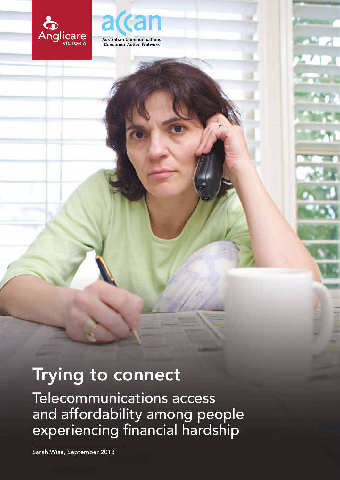



# Trying to connect

Telecommunications access and affordability among people experiencing financial hardship

Sarah Wise, September 2013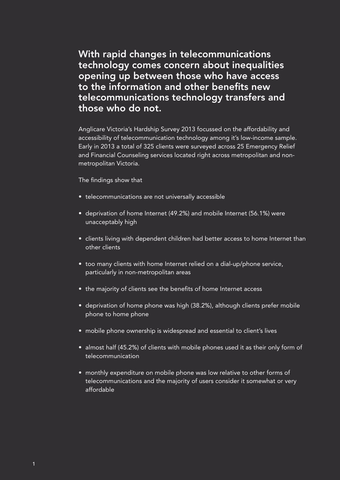With rapid changes in telecommunications technology comes concern about inequalities opening up between those who have access to the information and other benefits new telecommunications technology transfers and those who do not.

Anglicare Victoria's Hardship Survey 2013 focussed on the affordability and accessibility of telecommunication technology among it's low-income sample. Early in 2013 a total of 325 clients were surveyed across 25 Emergency Relief and Financial Counseling services located right across metropolitan and nonmetropolitan Victoria.

The findings show that

- telecommunications are not universally accessible
- deprivation of home Internet (49.2%) and mobile Internet (56.1%) were unacceptably high
- clients living with dependent children had better access to home Internet than other clients
- too many clients with home Internet relied on a dial-up/phone service, particularly in non-metropolitan areas
- the majority of clients see the benefits of home Internet access
- deprivation of home phone was high (38.2%), although clients prefer mobile phone to home phone
- mobile phone ownership is widespread and essential to client's lives
- almost half (45.2%) of clients with mobile phones used it as their only form of telecommunication
- monthly expenditure on mobile phone was low relative to other forms of telecommunications and the majority of users consider it somewhat or very affordable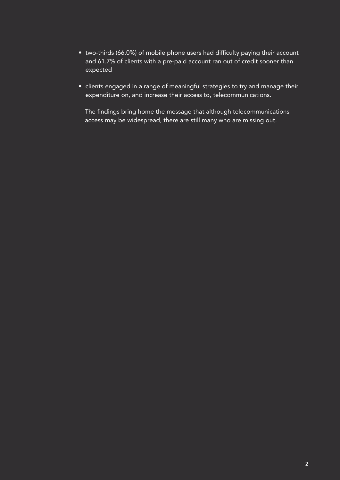- two-thirds (66.0%) of mobile phone users had difficulty paying their account and 61.7% of clients with a pre-paid account ran out of credit sooner than expected
- clients engaged in a range of meaningful strategies to try and manage their expenditure on, and increase their access to, telecommunications.

The findings bring home the message that although telecommunications access may be widespread, there are still many who are missing out.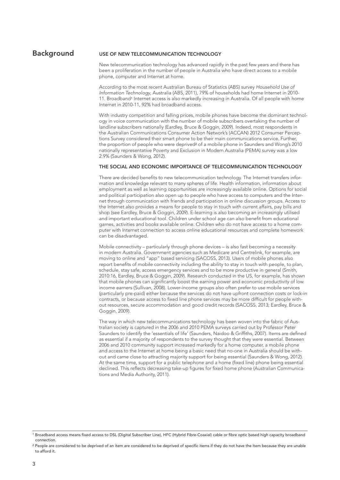## Background USE OF NEW TELECOMMUNICATION TECHNOLOGY

New telecommunication technology has advanced rapidly in the past few years and there has been a proliferation in the number of people in Australia who have direct access to a mobile phone, computer and Internet at home.

According to the most recent Australian Bureau of Statistics (ABS) survey *Household Use of Information Technology*, Australia (ABS, 2011), 79% of households had home Internet in 2010- 11. Broadband<sup>1</sup> Internet access is also markedly increasing in Australia. Of all people with home Internet in 2010-11, 92% had broadband access.

With industry competition and falling prices, mobile phones have become the dominant technology in voice communication with the number of mobile subscribers overtaking the number of landline subscribers nationally (Eardley, Bruce & Goggin, 2009). Indeed, most respondents in the Australian Communications Consumer Action Network's (ACCAN) 2012 Consumer Perceptions Survey considered their smart phone to be their main communications service. Further, the proportion of people who were deprived<sup>2</sup> of a mobile phone in Saunders and Wong's 2010 nationally representative Poverty and Exclusion in Modern Australia (PEMA) survey was a low 2.9% (Saunders & Wong, 2012).

#### The social and economic importance of telecommunication technology

There are decided benefits to new telecommunication technology. The Internet transfers information and knowledge relevant to many spheres of life. Health information, information about employment as well as learning opportunities are increasingly available online. Options for social and political participation also open up to people who have access to computers and the Internet through communication with friends and participation in online discussion groups. Access to the Internet also provides a means for people to stay in touch with current affairs, pay bills and shop (see Eardley, Bruce & Goggin, 2009). E-learning is also becoming an increasingly utilised and important educational tool. Children under school age can also benefit from educational games, activities and books available online. Children who do not have access to a home computer with Internet connection to access online educational resources and complete homework can be disadvantaged.

Mobile connectivity – particularly through phone devices – is also fast becoming a necessity in modern Australia. Government agencies such as Medicare and Centrelink, for example, are moving to online and "app" based servicing (SACOSS, 2013). Users of mobile phones also report benefits of mobile connectivity including the ability to stay in touch with people, to plan, schedule, stay safe, access emergency services and to be more productive in general (Smith, 2010:16, Eardley, Bruce & Goggin, 2009). Research conducted in the US, for example, has shown that mobile phones can significantly boost the earning power and economic productivity of low income earners (Sullivan, 2008). Lower-income groups also often prefer to use mobile services (particularly pre-paid) either because the services do not have upfront connection costs or lock-in contracts, or because access to fixed line phone services may be more difficult for people without resources, secure accommodation and good credit records (SACOSS, 2013; Eardley, Bruce & Goggin, 2009).

The way in which new telecommunications technology has been woven into the fabric of Australian society is captured in the 2006 and 2010 PEMA surveys carried out by Professor Peter Saunders to identify the 'essentials of life' (Saunders, Naidoo & Griffiths, 2007). Items are defined as essential if a majority of respondents to the survey thought that they were essential. Between 2006 and 2010 community support increased markedly for a home computer, a mobile phone and access to the Internet at home being a basic need that no-one in Australia should be without and came close to attracting majority support for being essential (Saunders & Wong, 2012). At the same time, support for a public telephone and a home (fixed line) phone being essential declined. This reflects decreasing take-up figures for fixed home phone (Australian Communications and Media Authority, 2011).

<sup>1</sup> Broadband access means fixed access to DSL (Digital Subscriber Line), HFC (Hybrid Fibre-Coaxial) cable or fibre optic based high capacity broadband connection.

<sup>&</sup>lt;sup>2</sup> People are considered to be deprived of an item are considered to be deprived of specific items if they do not have the item because they are unable to afford it.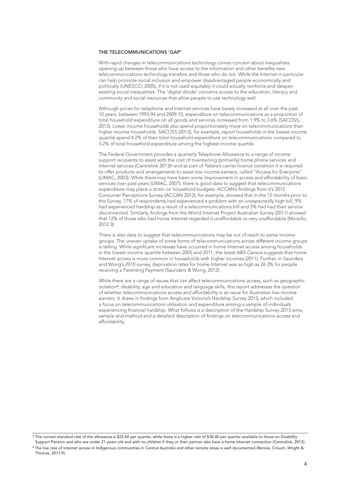#### The telecommunications 'gap'

With rapid changes in telecommunications technology comes concern about inequalities opening up between those who have access to the information and other benefits new telecommunications technology transfers and those who do not. While the Internet in particular can help promote social inclusion and empower disadvantaged people economically and politically (UNESCO, 2005), if it is not used equitably it could actually reinforce and deepen existing social inequalities. The 'digital divide' concerns access to the education, literacy and community and social resources that allow people to use technology well.

Although prices for telephone and Internet services have barely increased at all over the past 10 years, between 1993-94 and 2009-10, expenditure on telecommunications as a proportion of total household expenditure on all goods and services increased from 1.9% to 3.6% (SACOSS, 2013). Lower income households also spend proportionately more on telecommunications than higher income households. SACOSS (2013), for example, report households in the lowest income quartile spend 4.2% of their total household expenditure on telecommunications compared to 3.2% of total household expenditure among the highest income quartile.

The Federal Government provides a quarterly Telephone Allowance to a range of income support recipients to assist with the cost of maintaining (primarily) home phone services and Internet services (Centrelink 2013)3 and as part of Telstra's carrier licence condition it is required to offer products and arrangements to assist low income earners, called "Access for Everyone" (LIMAC, 2003). While there may have been some improvement in access and affordability of basic services over past years (LIMAC, 2007), there is good data to suggest that telecommunications expenditure may place a strain on household budgets. ACCAN's findings from it's 2012 Consumer Perceptions Survey (ACCAN 2012), for example, showed that in the 12 months prior to the Survey, 17% of respondents had experienced a problem with an unexpectedly high bill, 9% had experienced hardship as a result of a telecommunications bill and 5% had had their service disconnected. Similarly, findings from the World Internet Project Australian Survey (2011) showed that 12% of those who had home Internet regarded it unaffordable or very unaffordable (Morsillo, 2012:3).

There is also data to suggest that telecommunications may be out of reach to some income groups. The uneven uptake of some forms of telecommunications across different income groups is telling. While significant increases have occurred in home Internet access among households in the lowest income quartile between 2005 and 2011, the latest ABS Census suggests that home Internet access is more common in households with higher incomes (2011). Further, in Saunders and Wong's 2010 survey, deprivation rates for home Internet was as high as 26.3% for people receiving a Parenting Payment (Saunders & Wong, 2012).

While there are a range of issues that can affect telecommunications access, such as geographic isolation4, disability, age and education and language skills, this report addresses the question of whether telecommunications access and affordability is an issue for Australian low income earners. It draws in findings from Anglicare Victoria's Hardship Survey 2013, which included a focus on telecommunications utilisation and expenditure among a sample of individuals experiencing financial hardship. What follows is a description of the Hardship Survey 2013 aims, sample and method and a detailed description of findings on telecommunications access and affordability.

<sup>&</sup>lt;sup>3</sup> The current standard rate of the allowance is \$25.60 per quarter, while there is a higher rate of \$38.40 per quarter available to those on Disability Support Pension and who are under 21 years old and with no children if they or their partner also have a home internet connection (Centrelink, 2013).

<sup>4</sup> The low rate of Internet access in Indigenous communities in Central Australia and other remote areas is well documented (Rennie, Crouch, Wright & Thomas, 2011:9).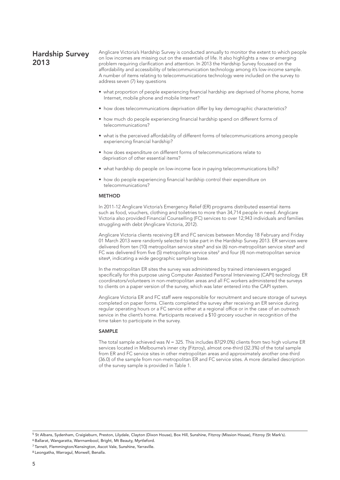# Hardship Survey 2013

Anglicare Victoria's Hardship Survey is conducted annually to monitor the extent to which people on low incomes are missing out on the essentials of life. It also highlights a new or emerging problem requiring clarification and attention. In 2013 the Hardship Survey focussed on the affordability and accessibility of telecommunication technology among it's low-income sample. A number of items relating to telecommunications technology were included on the survey to address seven (7) key questions

- what proportion of people experiencing financial hardship are deprived of home phone, home Internet, mobile phone and mobile Internet?
- how does telecommunications deprivation differ by key demographic characteristics?
- how much do people experiencing financial hardship spend on different forms of telecommunications?
- what is the perceived affordability of different forms of telecommunications among people experiencing financial hardship?
- how does expenditure on different forms of telecommunications relate to deprivation of other essential items?
- what hardship do people on low-income face in paying telecommunications bills?
- how do people experiencing financial hardship control their expenditure on telecommunications?

#### **METHOD**

In 2011-12 Anglicare Victoria's Emergency Relief (ER) programs distributed essential items such as food, vouchers, clothing and toiletries to more than 34,714 people in need. Anglicare Victoria also provided Financial Counselling (FC) services to over 12,943 individuals and families struggling with debt (Anglicare Victoria, 2012).

Anglicare Victoria clients receiving ER and FC services between Monday 18 February and Friday 01 March 2013 were randomly selected to take part in the Hardship Survey 2013. ER services were delivered from ten (10) metropolitan service sites<sup>5</sup> and six (6) non-metropolitan service sites<sup>6</sup> and FC was delivered from five (5) metropolitan service sites<sup>7</sup> and four (4) non-metropolitan service sites<sup>8</sup>, indicating a wide geographic sampling base.

In the metropolitan ER sites the survey was administered by trained interviewers engaged specifically for this purpose using Computer Assisted Personal Interviewing (CAPI) technology. ER coordinators/volunteers in non-metropolitan areas and all FC workers administered the surveys to clients on a paper version of the survey, which was later entered into the CAPI system.

Anglicare Victoria ER and FC staff were responsible for recruitment and secure storage of surveys completed on paper forms. Clients completed the survey after receiving an ER service during regular operating hours or a FC service either at a regional office or in the case of an outreach service in the client's home. Participants received a \$10 grocery voucher in recognition of the time taken to participate in the survey.

#### **SAMPLE**

The total sample achieved was *N* = 325. This includes 87(29.0%) clients from two high volume ER services located in Melbourne's inner city (Fitzroy), almost one-third (32.3%) of the total sample from ER and FC service sites in other metropolitan areas and approximately another one-third (36.0) of the sample from non-metropolitan ER and FC service sites. A more detailed description of the survey sample is provided in Table 1.

<sup>5</sup> St Albans, Sydenham, Craigieburn, Preston, Lilydale, Clayton (Dixon House), Box Hill, Sunshine, Fitzroy (Mission House), Fitzroy (St Mark's).

<sup>6</sup> Ballarat, Wangaratta, Warrnambool, Bright, Mt Beauty, Myrtleford.

<sup>7</sup> Tarneit, Flemmington/Kensington, Ascot Vale, Sunshine, Yarraville.

<sup>8</sup> Leongatha, Warragul, Morwell, Benalla.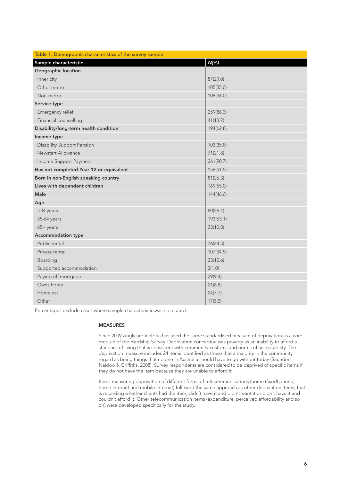| Table 1. Demographic characteristics of the survey sample |           |
|-----------------------------------------------------------|-----------|
| Sample characteristic                                     | $N(\%)$   |
| Geographic location                                       |           |
| Inner city                                                | 87(29.0)  |
| Other metro                                               | 105(35.0) |
| Non-metro                                                 | 108(36.0) |
| Service type                                              |           |
| Emergency relief                                          | 259(86.3) |
| Financial counselling                                     | 41(13.7)  |
| Disability/long-term health condition                     | 194(62.8) |
| Income type                                               |           |
| <b>Disability Support Pension</b>                         | 103(35.8) |
| Newstart Allowance                                        | 71(21.8)  |
| Income Support Payment                                    | 261(90.7) |
| Has not completed Year 12 or equivalent                   | 158(51.5) |
| Born in non-English speaking country                      | 81(26.3)  |
| Lives with dependent children                             | 169(55.0) |
| <b>Male</b>                                               | 144(46.6) |
| Age                                                       |           |
| <34 years                                                 | 80(26.1)  |
| 35-64 years                                               | 193(63.1) |
| $65+$ years                                               | 33(10.8)  |
| <b>Accommodation type</b>                                 |           |
| Public rental                                             | 76(24.5)  |
| Private rental                                            | 107(34.5) |
| Boarding                                                  | 33(10.6)  |
| Supported accommodation                                   | 3(1.0)    |
| Paying off mortgage                                       | 29(9.4)   |
| Owns home                                                 | 21(6.8)   |
| Homeless                                                  | 24(7.7)   |
| Other                                                     | 17(5.5)   |

Percentages exclude cases where sample characteristic was not stated.

#### **MEASURES**

Since 2009 Anglicare Victoria has used the same standardised measure of deprivation as a core module of the Hardship Survey. Deprivation conceptualises poverty as an inability to afford a standard of living that is consistent with community customs and norms of acceptability. The deprivation measure includes 24 items identified as those that a majority in the community regard as being things that no one in Australia should have to go without today (Saunders, Naidoo & Griffiths, 2008). Survey respondents are considered to be deprived of specific items if they do not have the item because they are unable to afford it.

Items measuring deprivation of different forms of telecommunications (home (fixed) phone, home Internet and mobile Internet) followed the same approach as other deprivation items; that is recording whether clients had the item, didn't have it and didn't want it or didn't have it and couldn't afford it. Other telecommunication items (expenditure, perceived affordability and so on) were developed specifically for the study.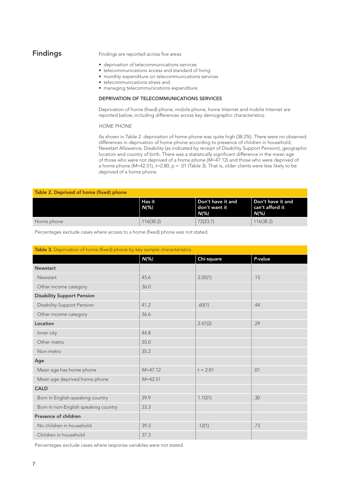# Findings Findings are reported across five areas

- deprivation of telecommunications services
- telecommunications access and standard of living
- monthly expenditure on telecommunications services
- telecommunications stress and
- managing telecommunications expenditure.

#### Deprivation of telecommunications services

Deprivation of home (fixed) phone, mobile phone, home Internet and mobile Internet are reported below, including differences across key demographic characteristics.

#### *Home phone*

As shown in Table 2. deprivation of home phone was quite high (38.2%). There were no observed differences in deprivation of home phone according to presence of children in household, Newstart Allowance, Disability (as indicated by receipt of Disability Support Pension), geographic location and country of birth. There was a statistically significant difference in the mean age of those who were not deprived of a home phone (*M*=47.12) and those who were deprived of a home phone (*M*=42.51), *t*=2.80, *p* = .01 (Table 3). That is, older clients were less likely to be deprived of a home phone.

| Table 2. Deprived of home (fixed) phone |                          |                                             |                                                |
|-----------------------------------------|--------------------------|---------------------------------------------|------------------------------------------------|
|                                         | Has it<br>$N\frac{9}{6}$ | Don't have it and<br>don't want it<br>$N\%$ | Don't have it and<br>can't afford it<br>  N(%) |
| Home phone                              | 116(38.2)                | 72(23.7)                                    | 116(38.2)                                      |

Percentages exclude cases where access to a home (fixed) phone was not stated.

#### Table 3. Deprivation of home (fixed) phone by key sample characteristics

|                                      | $N(\%)$     | Chi-square | P-value |
|--------------------------------------|-------------|------------|---------|
| <b>Newstart</b>                      |             |            |         |
| Newstart                             | 45.6        | 2.05(1)    | .15     |
| Other income category                | 36.0        |            |         |
| <b>Disability Support Pension</b>    |             |            |         |
| <b>Disability Support Pension</b>    | 41.2        | .60(1)     | .44     |
| Other income category                | 36.6        |            |         |
| Location                             |             | 2.47(2)    | .29     |
| Inner city                           | 44.8        |            |         |
| Other metro                          | 35.0        |            |         |
| Non-metro                            | 35.2        |            |         |
| Age                                  |             |            |         |
| Mean age has home phone              | $M = 47.12$ | $t = 2.81$ | .01     |
| Mean age deprived home phone         | $M = 42.51$ |            |         |
| <b>CALD</b>                          |             |            |         |
| Born in English-speaking country     | 39.9        | 1.10(1)    | .30     |
| Born in non-English speaking country | 33.3        |            |         |
| Presence of children                 |             |            |         |
| No children in household             | 39.3        | .12(1)     | .73     |
| Children in household                | 37.3        |            |         |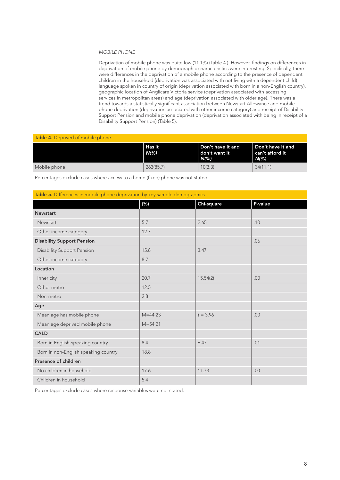#### *Mobile phone*

Deprivation of mobile phone was quite low (11.1%) (Table 4.). However, findings on differences in deprivation of mobile phone by demographic characteristics were interesting. Specifically, there were differences in the deprivation of a mobile phone according to the presence of dependent children in the household (deprivation was associated with not living with a dependent child) language spoken in country of origin (deprivation associated with born in a non-English country), geographic location of Anglicare Victoria service (deprivation associated with accessing services in metropolitan areas) and age (deprivation associated with older age). There was a trend towards a statistically significant association between Newstart Allowance and mobile phone deprivation (deprivation associated with other income category) and receipt of Disability Support Pension and mobile phone deprivation (deprivation associated with being in receipt of a Disability Support Pension) (Table 5).

#### Table 4. Deprived of mobile phone

|              | Has it<br>$N\frac{8}{6}$ | Don't have it and<br>  don't want it<br>$N(\%)$ | Don't have it and<br>can't afford it<br>$\mid N\frac{\alpha}{\beta}\rangle$ |
|--------------|--------------------------|-------------------------------------------------|-----------------------------------------------------------------------------|
| Mobile phone | 263(85.7)                | 10(3.3)                                         | 34(11.1)                                                                    |

Percentages exclude cases where access to a home (fixed) phone was not stated.

#### Table 5. Differences in mobile phone deprivation by key sample demographics

|                                      | $(\%)$      | Chi-square | P-value |
|--------------------------------------|-------------|------------|---------|
| <b>Newstart</b>                      |             |            |         |
| Newstart                             | 5.7         | 2.65       | .10     |
| Other income category                | 12.7        |            |         |
| <b>Disability Support Pension</b>    |             |            | .06     |
| <b>Disability Support Pension</b>    | 15.8        | 3.47       |         |
| Other income category                | 8.7         |            |         |
| Location                             |             |            |         |
| Inner city                           | 20.7        | 15.54(2)   | .00     |
| Other metro                          | 12.5        |            |         |
| Non-metro                            | 2.8         |            |         |
| Age                                  |             |            |         |
| Mean age has mobile phone            | $M = 44.23$ | $t = 3.96$ | .00     |
| Mean age deprived mobile phone       | $M = 54.21$ |            |         |
| <b>CALD</b>                          |             |            |         |
| Born in English-speaking country     | 8.4         | 6.47       | .01     |
| Born in non-English speaking country | 18.8        |            |         |
| Presence of children                 |             |            |         |
| No children in household             | 17.6        | 11.73      | .00     |
| Children in household                | 5.4         |            |         |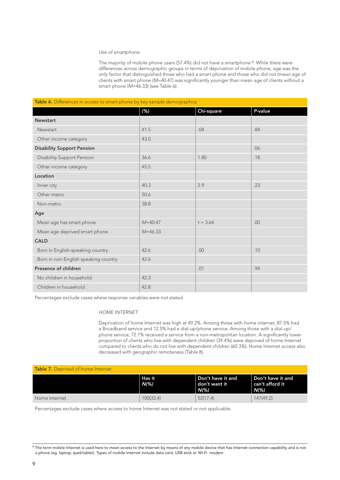#### *Use of smartphone*

The majority of mobile phone users (57.4%) did not have a smartphone 9. While there were differences across demographic groups in terms of deprivation of mobile phone, age was the only factor that distinguished those who had a smart phone and those who did not (mean age of clients with smart phone (*M*=40.47) was significantly younger than mean age of clients without a smart phone (*M*=46.33) (see Table 6).

| <b>lable 6.</b> Differences in access to smart phone by key sample demographics |             |            |         |
|---------------------------------------------------------------------------------|-------------|------------|---------|
|                                                                                 | (% )        | Chi-square | P-value |
| <b>Newstart</b>                                                                 |             |            |         |
| Newstart                                                                        | 41.5        | .04        | .84     |
| Other income category                                                           | 43.0        |            |         |
| <b>Disability Support Pension</b>                                               |             |            | .06     |
| <b>Disability Support Pension</b>                                               | 36.6        | 1.80       | .18     |
| Other income category                                                           | 45.5        |            |         |
| Location                                                                        |             |            |         |
| Inner city                                                                      | 40.3        | 2.9        | .23     |
| Other metro                                                                     | 50.6        |            |         |
| Non-metro                                                                       | 38.8        |            |         |
| Age                                                                             |             |            |         |
| Mean age has smart phone                                                        | $M = 40.47$ | $t = 3.64$ | .00     |
| Mean age deprived smart phone                                                   | $M = 46.33$ |            |         |
| <b>CALD</b>                                                                     |             |            |         |
| Born in English-speaking country                                                | 42.6        | .00        | .10     |
| Born in non-English speaking country                                            | 42.6        |            |         |
| Presence of children                                                            |             | .01        | .94     |
| No children in household                                                        | 42.3        |            |         |
| Children in household                                                           | 42.8        |            |         |
|                                                                                 |             |            |         |

#### **Table 6.** Differences in access to smart phone by key sample demographics

Percentages exclude cases where response variables were not stated.

#### *Home Internet*

Deprivation of home Internet was high at 49.2%. Among those with home internet, 87.5% had a Broadband service and 12.5% had a dial-up/phone service. Among those with a dial-up/ phone service, 72.7% received a service from a non-metropolitan location. A significantly lower proportion of clients who live with dependent children (39.4%) were deprived of home Internet compared to clients who do not live with dependent children (60.3%). Home Internet access also decreased with geographic remoteness (Table 8).

#### Table 7. Deprived of home Internet

|               | Has it<br>$N(\%)$ | Don't have it and<br>don't want it<br>$N\%$ | Don't have it and<br>$\mid$ can't afford it $\mid$<br>$N\ll 2$ |
|---------------|-------------------|---------------------------------------------|----------------------------------------------------------------|
| Home Internet | 100(33.4)         | 52(17.4)                                    | 147(49.2)                                                      |

Percentages exclude cases where access to home Internet was not stated or not applicable.

<sup>9</sup> The term mobile Internet is used here to mean access to the Internet by means of any mobile device that has Internet connection capability and is not a phone (eg. laptop, ipad/tablet). Types of mobile Internet include data card, USB stick or Wi-Fi modem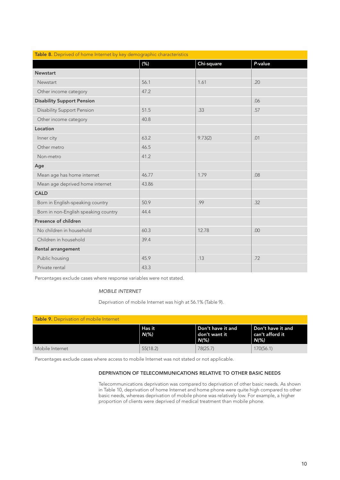| Table 8. Deprived of home Internet by key demographic characteristics |         |            |         |
|-----------------------------------------------------------------------|---------|------------|---------|
|                                                                       | $(\% )$ | Chi-square | P-value |
| <b>Newstart</b>                                                       |         |            |         |
| Newstart                                                              | 56.1    | 1.61       | .20     |
| Other income category                                                 | 47.2    |            |         |
| <b>Disability Support Pension</b>                                     |         |            | .06     |
| <b>Disability Support Pension</b>                                     | 51.5    | .33        | .57     |
| Other income category                                                 | 40.8    |            |         |
| Location                                                              |         |            |         |
| Inner city                                                            | 63.2    | 9.73(2)    | .01     |
| Other metro                                                           | 46.5    |            |         |
| Non-metro                                                             | 41.2    |            |         |
| Age                                                                   |         |            |         |
| Mean age has home internet                                            | 46.77   | 1.79       | .08     |
| Mean age deprived home internet                                       | 43.86   |            |         |
| <b>CALD</b>                                                           |         |            |         |
| Born in English-speaking country                                      | 50.9    | .99        | .32     |
| Born in non-English speaking country                                  | 44.4    |            |         |
| Presence of children                                                  |         |            |         |
| No children in household                                              | 60.3    | 12.78      | .00.    |
| Children in household                                                 | 39.4    |            |         |
| Rental arrangement                                                    |         |            |         |
| Public housing                                                        | 45.9    | .13        | .72     |
| Private rental                                                        | 43.3    |            |         |

Percentages exclude cases where response variables were not stated.

#### *mobile Internet*

Deprivation of mobile Internet was high at 56.1% (Table 9).

| <b>Table 9.</b> Deprivation of mobile Internet |                          |                                                        |                                              |
|------------------------------------------------|--------------------------|--------------------------------------------------------|----------------------------------------------|
|                                                | Has it<br>$N\frac{9}{6}$ | Don't have it and<br>  don't want it<br>$N\frac{9}{6}$ | Don't have it and<br>can't afford it<br>N(%) |
| Mobile Internet                                | 55(18.2)                 | 78(25.7)                                               | 170(56.1)                                    |

Percentages exclude cases where access to mobile Internet was not stated or not applicable.

#### Deprivation of telecommunications relative to other basic needs

Telecommunications deprivation was compared to deprivation of other basic needs. As shown in Table 10, deprivation of home Internet and home phone were quite high compared to other basic needs, whereas deprivation of mobile phone was relatively low. For example, a higher proportion of clients were deprived of medical treatment than mobile phone.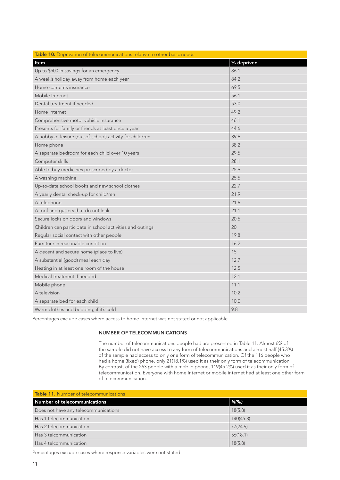| Table 10. Deprivation of telecommunications relative to other basic needs |            |
|---------------------------------------------------------------------------|------------|
| Item                                                                      | % deprived |
| Up to \$500 in savings for an emergency                                   | 86.1       |
| A week's holiday away from home each year                                 | 84.2       |
| Home contents insurance                                                   | 69.5       |
| Mobile Internet                                                           | 56.1       |
| Dental treatment if needed                                                | 53.0       |
| Home Internet                                                             | 49.2       |
| Comprehensive motor vehicle insurance                                     | 46.1       |
| Presents for family or friends at least once a year                       | 44.6       |
| A hobby or leisure (out-of-school) activity for child/ren                 | 39.6       |
| Home phone                                                                | 38.2       |
| A separate bedroom for each child over 10 years                           | 29.5       |
| Computer skills                                                           | 28.1       |
| Able to buy medicines prescribed by a doctor                              | 25.9       |
| A washing machine                                                         | 25.5       |
| Up-to-date school books and new school clothes                            | 22.7       |
| A yearly dental check-up for child/ren                                    | 21.9       |
| A telephone                                                               | 21.6       |
| A roof and gutters that do not leak                                       | 21.1       |
| Secure locks on doors and windows                                         | 20.5       |
| Children can participate in school activities and outings                 | 20         |
| Regular social contact with other people                                  | 19.8       |
| Furniture in reasonable condition                                         | 16.2       |
| A decent and secure home (place to live)                                  | 15         |
| A substantial (good) meal each day                                        | 12.7       |
| Heating in at least one room of the house                                 | 12.5       |
| Medical treatment if needed                                               | 12.1       |
| Mobile phone                                                              | 11.1       |
| A television                                                              | 10.2       |
| A separate bed for each child                                             | 10.0       |
| Warm clothes and bedding, if it's cold                                    | 9.8        |

Percentages exclude cases where access to home Internet was not stated or not applicable.

#### Number of telecommunications

The number of telecommunications people had are presented in Table 11. Almost 6% of the sample did not have access to any form of telecommunications and almost half (45.3%) of the sample had access to only one form of telecommunication. Of the 116 people who had a home (fixed) phone, only 21(18.1%) used it as their only form of telecommunication. By contrast, of the 263 people with a mobile phone, 119(45.2%) used it as their only form of telecommunication. Everyone with home Internet or mobile internet had at least one other form of telecommunication.

| Table 11. Number of telecommunications |           |
|----------------------------------------|-----------|
| Number of telecommunications           | $N(\% )$  |
| Does not have any telecommunications   | 18(5.8)   |
| Has 1 telecommunication                | 140(45.3) |
| Has 2 telecommunication                | 77(24.9)  |
| Has 3 telcommunication                 | 56(18.1)  |
| Has 4 telcommunication                 | 18(5.8)   |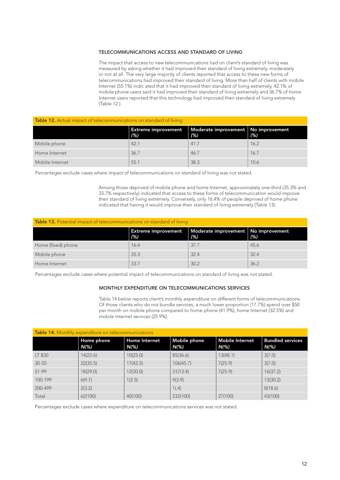#### Telecommunications access and standard of living

The impact that access to new telecommunications had on client's standard of living was measured by asking whether it had improved their standard of living extremely, moderately or not at all. The very large majority of clients reported that access to these new forms of telecommunications had improved their standard of living. More than half of clients with mobile Internet (55.1%) indic ated that it had improved their standard of living extremely, 42.1% of mobile phone users said it had improved their standard of living extremely and 36.7% of home Internet users reported that this technology had improved their standard of living extremely (Table 12.).

#### Table 12. Actual impact of telecommunications on standard of living

|                 | <b>Extreme improvement</b><br>(% ) | Moderate improvement   No improvement<br>(% ) | (%)  |
|-----------------|------------------------------------|-----------------------------------------------|------|
| Mobile phone    | 42.1                               | 41.7                                          | 16.2 |
| Home Internet   | 36.7                               | 46.7                                          | 16.7 |
| Mobile Internet | 55.1                               | 38.3                                          | 10.6 |

Percentages exclude cases where impact of telecommunications on standard of living was not stated.

Among those deprived of mobile phone and home Internet, approximately one-third (35.3% and 33.7% respectively) indicated that access to these forms of telecommunication would improve their standard of living extremely. Conversely, only 16.4% of people deprived of home phone indicated that having it would improve their standard of living extremely (Table 13).

### Table 13. Potential impact of telecommunications on standard of living

|                    | <b>Extreme improvement</b><br>(% ) | Moderate improvement No improvement<br>(% ) | (% ) |
|--------------------|------------------------------------|---------------------------------------------|------|
| Home (fixed) phone | 16.4                               | 37.7                                        | 45.6 |
| Mobile phone       | 35.3                               | 32.4                                        | 32.4 |
| Home Internet      | 33.7                               | 30.2                                        | 36.2 |

Percentages exclude cases where potential impact of telecommunications on standard of living was not stated.

#### Monthly expenditure on telecommunications services

Table 14 below reports client's monthly expenditure on different forms of telecommunications. Of those clients who do not bundle services, a much lower proportion (17.7%) spend over \$50 per month on mobile phone compared to home phone (41.9%), home Internet (32.5%) and mobile Internet services (25.9%).

| Table 14. Monthly expenditure on telecommunications |                    |                              |                      |                             |                                           |
|-----------------------------------------------------|--------------------|------------------------------|----------------------|-----------------------------|-------------------------------------------|
|                                                     | Home phone<br>N(%) | <b>Home Internet</b><br>N(%) | Mobile phone<br>N(%) | Mobile Internet<br>$N(\% )$ | <b>Bundled services</b><br>$N\frac{6}{6}$ |
| LT \$30                                             | 14(22.6)           | 10(25.0)                     | 85(36.6)             | 13(48.1)                    | 3(7.0)                                    |
| $30 - 50$                                           | 22(35.5)           | 17(42.5)                     | 106(45.7)            | 7(25.9)                     | 3(7.0)                                    |
| 51-99                                               | 18(29.0)           | 12(30.0)                     | 31(13.4)             | 7(25.9)                     | 16(37.2)                                  |
| 100-199                                             | 6(9.7)             | 1(2.5)                       | 9(3.9)               |                             | 13(30.2)                                  |
| 200-499                                             | 2(3.2)             |                              | 1(.4)                |                             | 8(18.6)                                   |
| Total                                               | 62(100)            | 40(100)                      | 232(100)             | 27(100)                     | 43(100)                                   |

Percentages exclude cases where expenditure on telecommunications services was not stated.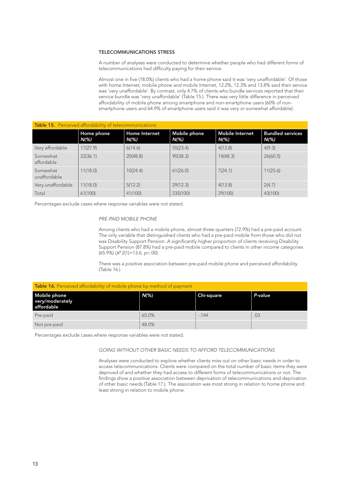#### Telecommunications stress

A number of analyses were conducted to determine whether people who had different forms of telecommunications had difficulty paying for their service.

Almost one in five (18.0%) clients who had a home phone said it was 'very unaffordable'. Of those with home Internet, mobile phone and mobile Internet, 12.2%, 12.3% and 13.8% said their service was 'very unaffordable'. By contrast, only 4.7% of clients who bundle services reported that their service bundle was 'very unaffordable' (Table 15.). There was very little difference in perceived affordability of mobile phone among smartphone and non-smartphone users (60% of nonsmartphone users and 64.9% of smartphone users said it was very or somewhat affordable).

| <b>Table 15.</b> Perceived affordability of telecommunications |                              |                              |                         |                                   |                                    |
|----------------------------------------------------------------|------------------------------|------------------------------|-------------------------|-----------------------------------|------------------------------------|
|                                                                | Home phone<br>$N\frac{9}{6}$ | <b>Home Internet</b><br>N(%) | Mobile phone<br>$N(\%)$ | <b>Mobile Internet</b><br>$N(\%)$ | <b>Bundled services</b><br>$N(\%)$ |
| Very affordable                                                | 17(27.9)                     | 6(14.6)                      | 55(23.4)                | 4(13.8)                           | 4(9.3)                             |
| Somewhat<br>affordable                                         | 22(36.1)                     | 20(48.8)                     | 90(38.3)                | 14(48.3)                          | 26(60.5)                           |
| Somewhat<br>unaffordable                                       | 11(18.0)                     | 10(24.4)                     | 61(26.0)                | 7(24.1)                           | 11(25.6)                           |
| Very unaffordable                                              | 11(18.0)                     | 5(12.2)                      | 29(12.3)                | 4(13.8)                           | 2(4.7)                             |
| Total                                                          | 61(100)                      | 41(100)                      | 235(100)                | 29(100)                           | 43(100)                            |

Percentages exclude cases where response variables were not stated.

#### *Pre-paid mobile phone*

Among clients who had a mobile phone, almost three-quarters (72.9%) had a pre-paid account. The only variable that distinguished clients who had a pre-paid mobile from those who did not was Disability Support Pension. A significantly higher proportion of clients receiving Disability Support Pension (87.8%) had a pre-paid mobile compared to clients in other income categories (65.9%) (*x*<sup>2</sup> 2(1)=13.6, *p*<.00).

There was a positive association between pre-paid mobile phone and perceived affordability (Table 16.)

| Mobile phone<br>very/moderately<br>affordable | N(%)  | Chi-square | P-value |
|-----------------------------------------------|-------|------------|---------|
| Pre-paid                                      | 65.0% | $-144$     | .03     |
| Not pre-paid                                  | 48.0% |            |         |

Percentages exclude cases where response variables were not stated.

Table 16. Perceived affordability of mobile phone by method of payment

#### *Going without other basic needs to afford telecommunications*

Analyses were conducted to explore whether clients miss out on other basic needs in order to access telecommunications. Clients were compared on the total number of basic items they were deprived of and whether they had access to different forms of telecommunications or not. The findings show a positive association between deprivation of telecommunications and deprivation of other basic needs (Table 17.). The association was most strong in relation to home phone and least strong in relation to mobile phone.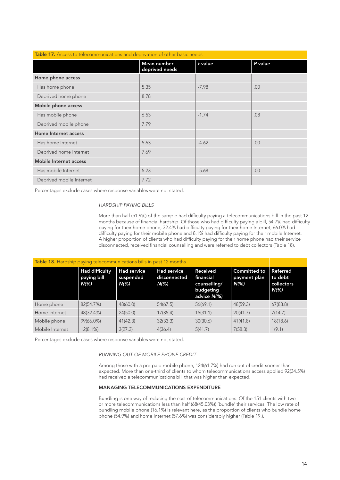| Table 17. Access to telecommunications and deprivation of other basic needs |                               |         |         |  |
|-----------------------------------------------------------------------------|-------------------------------|---------|---------|--|
|                                                                             | Mean number<br>deprived needs | t-value | P-value |  |
| Home phone access                                                           |                               |         |         |  |
| Has home phone                                                              | 5.35                          | $-7.98$ | .00     |  |
| Deprived home phone                                                         | 8.78                          |         |         |  |
| Mobile phone access                                                         |                               |         |         |  |
| Has mobile phone                                                            | 6.53                          | $-1.74$ | .08     |  |
| Deprived mobile phone                                                       | 7.79                          |         |         |  |
| Home Internet access                                                        |                               |         |         |  |
| Has home Internet                                                           | 5.63                          | $-4.62$ | .00     |  |
| Deprived home Internet                                                      | 7.69                          |         |         |  |
| <b>Mobile Internet access</b>                                               |                               |         |         |  |
| Has mobile Internet                                                         | 5.23                          | $-5.68$ | .00     |  |
| Deprived mobile Internet                                                    | 7.72                          |         |         |  |

Percentages exclude cases where response variables were not stated.

#### *Hardship paying bills*

More than half (51.9%) of the sample had difficulty paying a telecommunications bill in the past 12 months because of financial hardship. Of those who had difficulty paying a bill, 54.7% had difficulty paying for their home phone, 32.4% had difficulty paying for their home Internet, 66.0% had difficulty paying for their mobile phone and 8.1% had difficulty paying for their mobile Internet. A higher proportion of clients who had difficulty paying for their home phone had their service disconnected, received financial counselling and were referred to debt collectors (Table 18).

| Table 18. Hardship paying telecommunications bills in past 12 months |                                                 |                                                   |                                               |                                                                          |                                                       |                                                     |
|----------------------------------------------------------------------|-------------------------------------------------|---------------------------------------------------|-----------------------------------------------|--------------------------------------------------------------------------|-------------------------------------------------------|-----------------------------------------------------|
|                                                                      | Had difficulty<br>paying bill<br>$N\frac{6}{6}$ | <b>Had service</b><br>suspended<br>$N\frac{9}{6}$ | <b>Had service</b><br>disconnected<br>$N(\%)$ | <b>Received</b><br>financial<br>counselling/<br>budgeting<br>advice N(%) | <b>Committed to</b><br>payment plan<br>$N\frac{9}{6}$ | Referred<br>to debt<br>collectors<br>$N\frac{9}{6}$ |
| Home phone                                                           | 82(54.7%)                                       | 48(60.0)                                          | 54(67.5)                                      | 56(69.1)                                                                 | 48(59.3)                                              | 67(83.8)                                            |
| Home Internet                                                        | 48(32.4%)                                       | 24(50.0)                                          | 17(35.4)                                      | 15(31.1)                                                                 | 20(41.7)                                              | 7(14.7)                                             |
| Mobile phone                                                         | 99(66.0%)                                       | 41(42.3)                                          | 32(33.3)                                      | 30(30.6)                                                                 | 41(41.8)                                              | 18(18.6)                                            |
| Mobile Internet                                                      | 12(8.1%)                                        | 3(27.3)                                           | 4(36.4)                                       | 5(41.7)                                                                  | 7(58.3)                                               | 1(9.1)                                              |

Percentages exclude cases where response variables were not stated.

#### *Running out of mobile phone credit*

Among those with a pre-paid mobile phone, 124(61.7%) had run out of credit sooner than expected. More than one-third of clients to whom telecommunications access applied 92(34.5%) had received a telecommunications bill that was higher than expected.

#### Managing telecommunications expenditure

Bundling is one way of reducing the cost of telecommunications. Of the 151 clients with two or more telecommunications less than half (68(45.03%)) 'bundle' their services. The low rate of bundling mobile phone (16.1%) is relevant here, as the proportion of clients who bundle home phone (54.9%) and home Internet (57.6%) was considerably higher (Table 19.).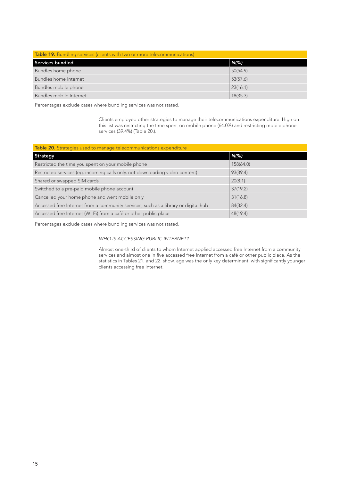| Table 19. Bundling services (clients with two or more telecommunications) |          |  |  |
|---------------------------------------------------------------------------|----------|--|--|
| Services bundled                                                          | $N(\%)$  |  |  |
| Bundles home phone                                                        | 50(54.9) |  |  |
| Bundles home Internet                                                     | 53(57.6) |  |  |
| Bundles mobile phone                                                      | 23(16.1) |  |  |
| Bundles mobile Internet                                                   | 18(35.3) |  |  |

Percentages exclude cases where bundling services was not stated.

Clients employed other strategies to manage their telecommunications expenditure. High on this list was restricting the time spent on mobile phone (64.0%) and restricting mobile phone services (39.4%) (Table 20.).

| Table 20. Strategies used to manage telecommunications expenditure                 |           |  |  |  |
|------------------------------------------------------------------------------------|-----------|--|--|--|
| <b>Strategy</b>                                                                    | $N(\%)$   |  |  |  |
| Restricted the time you spent on your mobile phone                                 | 158(64.0) |  |  |  |
| Restricted services (eg. incoming calls only, not downloading video content)       | 93(39.4)  |  |  |  |
| Shared or swapped SIM cards                                                        | 20(8.1)   |  |  |  |
| Switched to a pre-paid mobile phone account                                        | 37(19.2)  |  |  |  |
| Cancelled your home phone and went mobile only                                     | 31(16.8)  |  |  |  |
| Accessed free Internet from a community services, such as a library or digital hub | 84(32.4)  |  |  |  |
| Accessed free Internet (Wi-Fi) from a café or other public place                   | 48(19.4)  |  |  |  |

Percentages exclude cases where bundling services was not stated.

#### *Who is accessing public internet?*

Almost one-third of clients to whom Internet applied accessed free Internet from a community services and almost one in five accessed free Internet from a café or other public place. As the statistics in Tables 21. and 22. show, age was the only key determinant, with significantly younger clients accessing free Internet.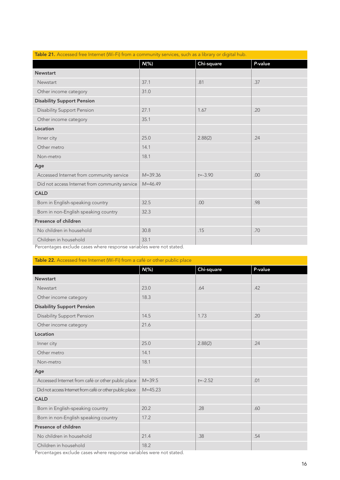| $N(\%)$     | Chi-square  | P-value                                                                                                      |
|-------------|-------------|--------------------------------------------------------------------------------------------------------------|
|             |             |                                                                                                              |
| 37.1        | .81         | .37                                                                                                          |
| 31.0        |             |                                                                                                              |
|             |             |                                                                                                              |
| 27.1        | 1.67        | .20                                                                                                          |
| 35.1        |             |                                                                                                              |
|             |             |                                                                                                              |
| 25.0        | 2.88(2)     | .24                                                                                                          |
| 14.1        |             |                                                                                                              |
| 18.1        |             |                                                                                                              |
|             |             |                                                                                                              |
| $M = 39.36$ | $t = -3.90$ | .00                                                                                                          |
| $M = 46.49$ |             |                                                                                                              |
|             |             |                                                                                                              |
| 32.5        | .00         | .98                                                                                                          |
| 32.3        |             |                                                                                                              |
|             |             |                                                                                                              |
| 30.8        | .15         | .70                                                                                                          |
| 33.1        |             |                                                                                                              |
|             |             | <b>Table ZT.</b> Accessed free internet (WI-FI) from a community services, such as a library or digital nub. |

#### **Table 21.** Accessed free Internet (Wi-Fi) from a community services, such as a library or digital hub.

Percentages exclude cases where response variables were not stated.

# Table 22. Accessed free Internet (Wi-Fi) from a café or other public place

|                                                         | $N(\%)$     | Chi-square  | P-value |
|---------------------------------------------------------|-------------|-------------|---------|
| <b>Newstart</b>                                         |             |             |         |
| Newstart                                                | 23.0        | .64         | .42     |
| Other income category                                   | 18.3        |             |         |
| <b>Disability Support Pension</b>                       |             |             |         |
| <b>Disability Support Pension</b>                       | 14.5        | 1.73        | .20     |
| Other income category                                   | 21.6        |             |         |
| Location                                                |             |             |         |
| Inner city                                              | 25.0        | 2.88(2)     | .24     |
| Other metro                                             | 14.1        |             |         |
| Non-metro                                               | 18.1        |             |         |
| Age                                                     |             |             |         |
| Accessed Internet from café or other public place       | $M = 39.5$  | $t = -2.52$ | .01     |
| Did not access Internet from café or other public place | $M = 45.23$ |             |         |
| <b>CALD</b>                                             |             |             |         |
| Born in English-speaking country                        | 20.2        | .28         | .60     |
| Born in non-English speaking country                    | 17.2        |             |         |
| Presence of children                                    |             |             |         |
| No children in household                                | 21.4        | .38         | .54     |
| Children in household                                   | 18.2        |             |         |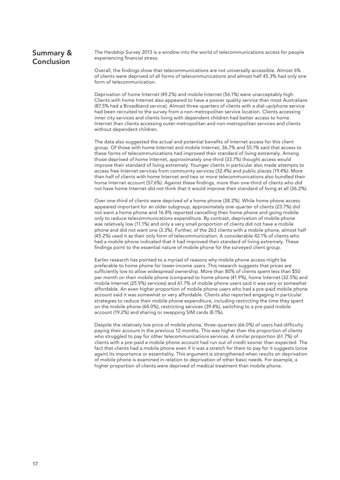# Summary & Conclusion

The Hardship Survey 2013 is a window into the world of telecommunications access for people experiencing financial stress.

Overall, the findings show that telecommunications are not universally accessible. Almost 6% of clients were deprived of all forms of telecommunications and almost half 45.3% had only one form of telecommunication.

Deprivation of home Internet (49.2%) and mobile Internet (56.1%) were unacceptably high. Clients with home Internet also appeared to have a poorer quality service than most Australians (87.5% had a Broadband service). Almost three-quarters of clients with a dial-up/phone service had been recruited to the survey from a non-metropolitan service location. Clients accessing inner city services and clients living with dependent children had better access to home Internet than clients accessing outer-metropolitan and non-metropolitan services and clients without dependent children.

The data also suggested the actual and potential benefits of Internet access for this client group. Of those with home Internet and mobile Internet, 36.7% and 55.1% said that access to these forms of telecommunications had improved their standard of living extremely. Among those deprived of home Internet, approximately one-third (33.7%) thought access would improve their standard of living extremely. Younger clients in particular also made attempts to access free Internet services from community services (32.4%) and public places (19.4%). More than half of clients with home Internet and two or more telecommunications also bundled their home Internet account (57.6%). Against these findings, more than one-third of clients who did not have home Internet did not think that it would improve their standard of living at all (36.2%).

Over one-third of clients were deprived of a home phone (38.2%). While home phone access appeared important for an older subgroup, approximately one-quarter of clients (23.7%) did not want a home phone and 16.8% reported cancelling their home phone and going mobile only to reduce telecommunications expenditure. By contrast, deprivation of mobile phone was relatively low (11.1%) and only a very small proportion of clients did not have a mobile phone and did not want one (3.3%). Further, of the 263 clients with a mobile phone, almost half (45.2%) used it as their only form of telecommunication. A considerable 42.1% of clients who had a mobile phone indicated that it had improved their standard of living extremely. These findings point to the essential nature of mobile phone for the surveyed client group.

Earlier research has pointed to a myriad of reasons why mobile phone access might be preferable to home phone for lower-income users. This research suggests that prices are sufficiently low to allow widespread ownership. More than 80% of clients spent less than \$50 per month on their mobile phone (compared to home phone (41.9%), home Internet (32.5%) and mobile Internet (25.9%) services) and 61.7% of mobile phone users said it was very or somewhat affordable. An even higher proportion of mobile phone users who had a pre-paid mobile phone account said it was somewhat or very affordable. Clients also reported engaging in particular strategies to reduce their mobile phone expenditure, including restricting the time they spent on the mobile phone (64.0%), restricting services (39.4%), switching to a pre-paid mobile account (19.2%) and sharing or swapping SIM cards (8.1%).

Despite the relatively low price of mobile phone, three-quarters (66.0%) of users had difficulty paying their account in the previous 12 months. This was higher than the proportion of clients who struggled to pay for other telecommunications services. A similar proportion (61.7%) of clients with a pre-paid a mobile phone account had run out of credit sooner than expected. The fact that clients had a mobile phone even if it was a stretch for them to pay for it suggests (once again) its importance or essentiality. This argument is strengthened when results on deprivation of mobile phone is examined in relation to deprivation of other basic needs. For example, a higher proportion of clients were deprived of medical treatment than mobile phone.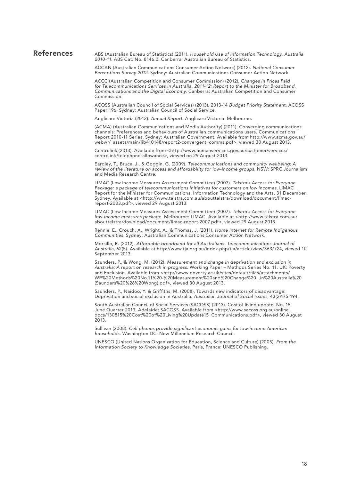#### References ABS (Australian Bureau of Statistics) (2011). *Household Use of Information Technology, Australia 2010-11.* ABS Cat. No. 8146.0. Canberra: Australian Bureau of Statistics.

ACCAN (Australian Communications Consumer Action Network) (2012). *National Consumer Perceptions Survey 2012.* Sydney: Australian Communications Consumer Action Network.

ACCC (Australian Competition and Consumer Commission) (2012), *Changes in Prices Paid for Telecommunications Services in Australia, 2011-12: Report to the Minister for Broadband, Communications and the Digital Economy.* Canberra: Australian Competition and Consumer Commission.

ACOSS (Australian Council of Social Services) (2013), 2013-14 *Budget Priority Statement*, ACOSS Paper 196. Sydney: Australian Council of Social Service.

Anglicare Victoria (2012). *Annual Report.* Anglicare Victoria: Melbourne.

(ACMA) (Australian Communications and Media Authority) (2011). Converging communications channels: Preferences and behaviours of Australian communications users. Communications Report 2010-11 Series. Sydney: Australian Government. Available from http://www.acma.gov.au/ webwr/\_assets/main/lib410148/report2-convergent\_comms.pdf>, viewed 30 August 2013.

Centrelink (2013). Available from <http://www.humanservices.gov.au/customer/services/ centrelink/telephone-allowance>, viewed on 29 August 2013.

Eardley, T., Bruce, J., & Goggin, G. (2009). *Telecommunications and community wellbeing: A review of the literature on access and affordability for low-income groups.* NSW: SPRC Journalism and Media Research Centre.

LIMAC (Low Income Measures Assessment Committee) (2003). *Telstra's Access for Everyone Package: a package of telecommunications initiatives for customers on low incomes*, LIMAC Report for the Minister for Communications, Information Technology and the Arts, 31 December, Sydney. Available at <http://www.telstra.com.au/abouttelstra/download/document/limacreport-2003.pdf>, viewed 29 August 2013.

LIMAC (Low Income Measures Assessment Committee) (2007). *Telstra's Access for Everyone low-income measures package.* Melbourne: LIMAC. Available at <http://www.telstra.com.au/ abouttelstra/download/document/limac-report-2007.pdf>, viewed 29 August 2013.

Rennie, E., Crouch, A., Wright, A., & Thomas, J. (2011). *Home Internet for Remote Indigenous Communities.* Sydney: Australian Communications Consumer Action Network.

Morsillo, R. (2012). *Affordable broadband for all Australians. Telecommunications Journal of Australia,* 62(5). Available at http://www.tja.org.au/index.php/tja/article/view/363/724, viewed 10 September 2013.

Saunders, P., & Wong, M. (2012). *Measurement and change in deprivation and exclusion in Australia; A report on research in progress.* Working Paper – Methods Series No. 11. UK: Poverty and Exclusion. Available from <http://www.poverty.ac.uk/sites/default/files/attachments/ WP%20Methods%20No.11%20-%20Measurement%20and%20Change%20...in%20Australia%20 (Saunders%20%26%20Wong).pdf>, viewed 30 August 2013.

Saunders, P., Naidoo, Y. & Griffiths, M. (2008). Towards new indicators of disadvantage: Deprivation and social exclusion in Australia. *Australian Journal of Social Issues*, 43(2)175-194.

South Australian Council of Social Services (SACOSS) (2013). Cost of living update. No. 15 June Quarter 2013. Adelaide: SACOSS. Available from <http://www.sacoss.org.au/online\_ docs/130815%20Cost%20of%20Living%20Update15\_Communications.pdf>, viewed 30 August 2013.

Sullivan (2008). *Cell phones provide significant economic gains for low-income American households.* Washington DC: New Millennium Research Council.

UNESCO (United Nations Organization for Education, Science and Culture) (2005). *From the Information Society to Knowledge Societies.* Paris, France: UNESCO Publishing.